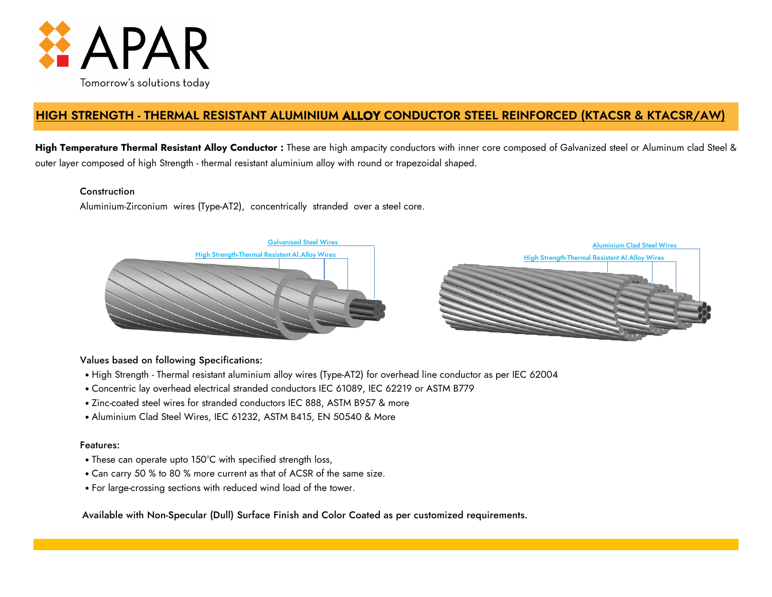

# **HIGH STRENGTH - THERMAL RESISTANT ALUMINIUM ALLOY CONDUCTOR STEEL REINFORCED (KTACSR & KTACSR/AW)**

**High Temperature Thermal Resistant Alloy Conductor :** These are high ampacity conductors with inner core composed of Galvanized steel or Aluminum clad Steel & outer layer composed of high Strength - thermal resistant aluminium alloy with round or trapezoidal shaped.

## **Construction**

Aluminium-Zirconium wires (Type-AT2), concentrically stranded over a steel core.



## Values based on following Specifications:

- High Strength Thermal resistant aluminium alloy wires (Type-AT2) for overhead line conductor as per IEC 62004
- Concentric lay overhead electrical stranded conductors IEC 61089, IEC 62219 or ASTM B779
- Zinc-coated steel wires for stranded conductors IEC 888, ASTM B957 & more
- Aluminium Clad Steel Wires, IEC 61232, ASTM B415, EN 50540 & More

## Features:

- These can operate upto 150°C with specified strength loss,
- Can carry 50 % to 80 % more current as that of ACSR of the same size.
- For large-crossing sections with reduced wind load of the tower.

Available with Non-Specular (Dull) Surface Finish and Color Coated as per customized requirements.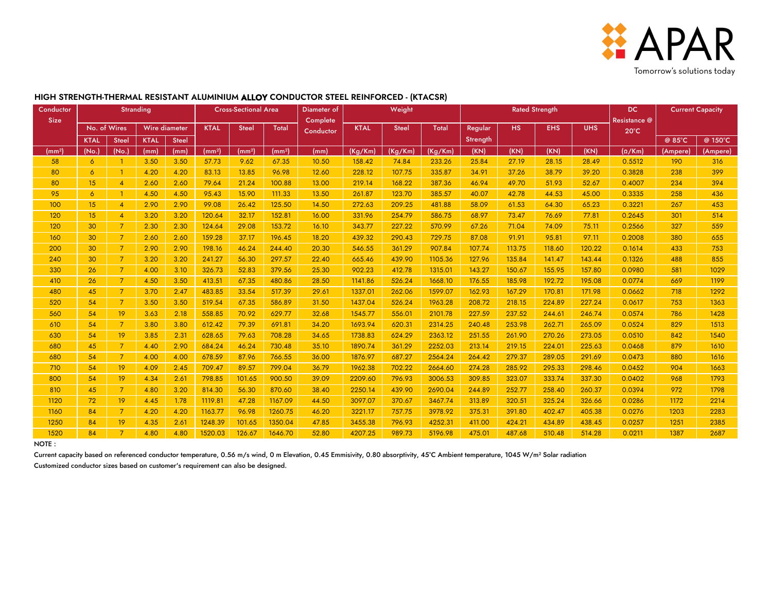

#### KTAL Steel KTAL Steel @ 85°C @ 150°C (mm²) (No.) (No.) (mm) (mm) (mm²) (mm²) (mm²) (mm) (Kg/Km) (Kg/Km) (Kg/Km) (KN) (KN) (KN) (KN) (Ω/Km) (Ampere) (Ampere) 58 6 1 3.50 3.50 57.73 9.62 67.35 10.50 158.42 74.84 233.26 25.84 27.19 28.15 28.49 0.5512 190 316 80 | 6 | 1 | 4.20 | 4.20 | 83.13 | 13.85 | 96.98 | 12.60 | 228.12 | 107.75 | 335.87 | 34.91 | 37.26 | 38.79 | 39.20 | 0.3828 | 238 | 399 80 15 4 2.60 2.60 79.64 21.24 100.88 13.00 219.14 168.22 387.36 46.94 49.70 51.93 52.67 0.4007 234 394 95 | 6 | 1 | 4.50 | 4.50 | 95.43 | 15.90 | 111.33 | 13.50 | 261.87 | 123.70 | 385.57 | 40.07 | 42.78 | 44.53 | 45.00 | 0.3335 | 258 | 436 100 15 4 2.90 2.90 99.08 26.42 125.50 14.50 272.63 209.25 481.88 58.09 61.53 64.30 65.23 0.3221 267 453 120 15 4 3.20 3.20 120.64 32.17 152.81 16.00 331.96 254.79 586.75 68.97 73.47 76.69 77.81 0.2645 301 514 120 | 30 | 7 | 2.30 | 2.30 | 124.64 | 29.08 | 153.72 | 16.10 | 343.77 | 227.22 | 570.99 | 67.26 | 71.04 | 74.09 | 75.11 | 0.2566 | 327 | 559 160 30 7 2.60 2.60 159.28 37.17 196.45 18.20 439.32 290.43 729.75 87.08 91.91 95.81 97.11 0.2008 380 655 200 30 7 2.90 2.90 198.16 46.24 244.40 20.30 546.55 361.29 907.84 107.74 113.75 118.60 120.22 0.1614 433 753 240 | 30 | 7 | 3.20 | 3.20 | 241.27 | 56.30 | 297.57 | 22.40 | 665.46 | 439.90 | 1105.36 | 127.96 | 135.84 | 141.47 | 143.44 | 0.1326 | 488 | 855 330 26 7 4.00 3.10 326.73 52.83 379.56 25.30 902.23 412.78 1315.01 143.27 150.67 155.95 157.80 0.0980 581 1029 410 | 26 | 7 | 4.50 | 3.50 | 413.51 | 67.35 | 480.86 | 28.50 | 1141.86 | 526.24 | 1668.10 | 176.55 | 185.98 | 192.72 | 195.08 | 0.0774 | 669 | 1199 480 45 7 3.70 2.47 483.85 33.54 517.39 29.61 1337.01 262.06 1599.07 162.93 167.29 170.81 171.98 0.0662 718 1292 520 54 7 3.50 3.50 519.54 67.35 586.89 31.50 1437.04 526.24 1963.28 208.72 218.15 224.89 227.24 0.0617 753 1363 560 54 19 3.63 2.18 558.85 70.92 629.77 32.68 1545.77 556.01 2101.78 227.59 237.52 244.61 246.74 0.0574 786 1428 610 54 7 3.80 3.80 612.42 79.39 691.81 34.20 1693.94 620.31 2314.25 240.48 253.98 262.71 265.09 0.0524 829 1513 630 54 19 3.85 2.31 628.65 79.63 708.28 34.65 1738.83 624.29 2363.12 251.55 261.90 270.26 273.05 0.0510 842 1540 680 45 7 4.40 2.90 684.24 46.24 730.48 35.10 1890.74 361.29 2252.03 213.14 219.15 224.01 225.63 0.0468 879 1610 680 54 7 4.00 4.00 678.59 87.96 766.55 36.00 1876.97 687.27 2564.24 264.42 279.37 289.05 291.69 0.0473 880 1616 710 54 19 4.09 2.45 709.47 89.57 799.04 36.79 1962.38 702.22 2664.60 274.28 285.92 295.33 298.46 0.0452 904 1663 800 54 19 4.34 2.61 798.85 101.65 900.50 39.09 2209.60 796.93 3006.53 309.85 323.07 333.74 337.30 0.0402 968 1793 810 45 7 4.80 3.20 814.30 56.30 870.60 38.40 2250.14 439.90 2690.04 244.89 252.77 258.40 260.37 0.0394 972 1798 1120 72 19 4.45 1.78 1119.81 47.28 1167.09 44.50 3097.07 370.67 3467.74 313.89 320.51 325.24 326.66 0.0286 1172 2214 1160 84 7 4.20 4.20 1163.77 96.98 1260.75 46.20 3221.17 757.75 3978.92 375.31 391.80 402.47 405.38 0.0276 1203 2283 1250 84 19 4.35 2.61 1248.39 101.65 1350.04 47.85 3455.38 796.93 4252.31 411.00 424.21 434.89 438.45 0.0257 1251 2385 1520 84 7 4.80 4.80 1520.03 126.67 1646.70 52.80 4207.25 989.73 5196.98 475.01 487.68 510.48 514.28 0.0211 1387 2687 **Conductor** Size Stranding **Cross-Sectional Area** Diameter of **Complete Conductor** Weight Rated Strength DC (Northern DC) Resistance @ 20°C Current Capacity Steel | Total | Regular **Strength** No. of Wires | Wire diameter | KTAL | Steel | Total | <sub>Conductor</sub> | KTAL | Steel | Total | Regular | HS | EHS | UHS

### **HIGH STRENGTH-THERMAL RESISTANT ALUMINIUM ALLOY CONDUCTOR STEEL REINFORCED - (KTACSR)**

NOTE :

Current capacity based on referenced conductor temperature, 0.56 m/s wind, 0 m Elevation, 0.45 Emmisivity, 0.80 absorptivity, 45°C Ambient temperature, 1045 W/m<sup>2</sup> Solar radiation

Customized conductor sizes based on customer's requirement can also be designed.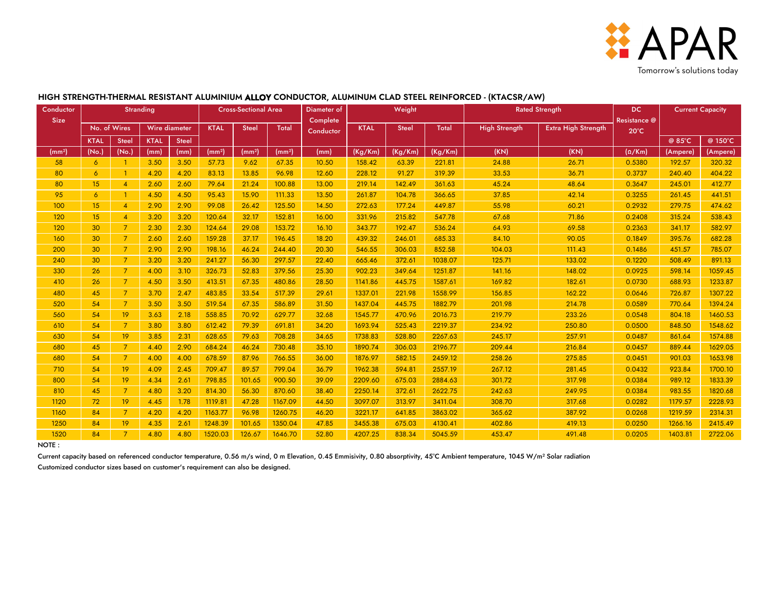

#### KTAL Steel KTAL Steel @ 85°C @ 150°C (mm²) (No.) (No.) (mm) (mm) (mm²) (mm²) (mm²) (mm) (Kg/Km) (Kg/Km) (Kg/Km) (Ω/Km) (Ampere) (Ampere) 58 6 1 3.50 3.50 57.73 9.62 67.35 10.50 158.42 63.39 221.81 0.5380 192.57 320.32 80 | 6 | 1 | 4.20 | 4.20 | 83.13 | 13.85 | 96.98 | 12.60 | 228.12 | 91.27 | 319.39 | 33.53 | 36.71 | 0.3737 | 240.40 | 404.22 80 | 15 | 4 | 2.60 | 2.64 | 21.24 | 100.88 | 13.00 | 219.14 | 142.49 | 361.63 | 45.24 | | 48.64 | 0.3647 | 245.01 | 412.77 95 | 6 | 1 | 4.50 | 4.50 | 95.43 | 15.90 | 111.33 | 13.50 | 261.87 | 104.78 | 366.65 | 37.85 | 42.14 | 0.3255 | 261.45 | 441.51 100 15 4 2.90 2.90 99.08 26.42 125.50 14.50 272.63 177.24 449.87 0.2932 279.75 474.62 120 | 15 | 4 | 3.20 | 3.20 | 120.64 | 32.17 | 152.81 | 16.00 | 331.96 | 215.82 | 547.78 | 67.68 | 71.86 | 0.2408 | 315.24 | 538.43 120 30 7 2.30 2.30 124.64 29.08 153.72 16.10 343.77 192.47 536.24 64.93 69.58 0.2363 341.17 582.97 160 30 7 2.60 2.60 159.28 37.17 196.45 18.20 439.32 246.01 685.33 0.1849 395.76 682.28 200 | 30 | 7 | 2.90 | 2.90 | 198.16 | 46.24 | 244.40 | 20.30 | 546.55 | 306.03 | 852.58 | 0.14.03 | 111.43 | 0.1486 | 451.57 | 785.07 240 30 7 3.20 3.20 241.27 56.30 297.57 22.40 665.46 372.61 1038.07 125.71 133.02 0.1220 508.49 891.13 330 | 26 | 7 | 4.00 | 3.10 | 326.73 | 52.83 | 379.56 | 25.30 | 902.23 | 349.64 | 1251.87 | 141.16 | | 148.02 | 0.0925 | 598.14 | 1059.45 410 26 7 4.50 3.50 413.51 67.35 480.86 28.50 1141.86 445.75 1587.61 169.82 182.61 0.0730 688.93 1233.87 480 | 45 | 7 | 3.70 | 2.47 | 483.85 | 33.54 | 517.39 | 29.61 | 1337.01 | 221.98 | 1558.99 | 166.85 | | 162.22 | 0.0646 | 726.87 | 1307.22 520 | 54 | 7 | 3.50 | 3.50 | 519.54 | 67.35 | 586.89 | 31.50 | 1437.04 | 445.75 | 1882.79 | 201.98 | 214.78 | 0.0589 | 770.64 | 1394.24 560 54 19 3.63 2.18 558.85 70.92 629.77 32.68 1545.77 470.96 2016.73 0.0548 804.18 1460.53 610 | 54 | 7 | 3.80 | 3.80 | 612.42 | 79.39 | 691.81 | 34.20 | 1693.94 | 525.43 | 2219.37 | 234.92 | 250.80 | 260.80 | 0.0500 | 848.50 | 1548.62 630 | 54 | 19 | 3.85 | 2.31 | 628.65 | 79.63 | 708.28 | 34.65 | 1738.83 | 528.80 | 2267.63 | 245.17 | | 257.91 | 0.0487 | 861.64 | 1574.88 680 | 45 | 7 | 4.40 | 2.90 | 684.24 | 46.24 | 730.48 | 35.10 | 1890.74 | 306.03 | 2196.77 | 209.44 | 216.84 | 216.84 | 0.0457 | 889.44 | 1629.05 680 | 54 | 7 | 4.00 | 4.00 | 678.59 | 87.96 | 766.55 | 36.00 | 1876.97 | 582.15 | 2459.12 | 258.26 | 275.85 | 0.0451 | 901.03 | 1653.98 710 54 19 4.09 2.45 709.47 89.57 799.04 36.79 1962.38 594.81 2557.19 0.0432 923.84 1700.10 800 | 54 | 19 | 4.34 | 2.61 | 798.85 | 101.65 | 900.50 | 39.09 | 2209.60 | 675.03 | 2884.63 | 301.72 | 317.98 | 0.0384 | 989.12 | 1833.39 810 | 45 | 7 | 4.80 | 3.20 | 814.30 | 56.30 | 870.60 | 38.40 | 2250.14 | 372.61 | 2622.75 | 242.63 | 0.42.95 | 0.0384 | 983.55 | 1820.68 1120 | 72 | 19 | 4.45 | 1.78 | 1119.81 | 47.28 | 1167.09 | 44.50 | 3097.07 | 313.97 | 3411.04 | 308.70 | 317.68 | 0.0282 | 1179.57 | 2228.93 1160 | 84 | 7 | 4.20 | 4.20 | 1163.77 | 96.98 | 1260.75 | 46.20 | 3221.17 | 641.85 | 3863.02 | 365.62 | 387.92 | 0.0268 | 1219.59 | 2314.31 1250 84 19 4.35 2.61 1248.39 101.65 1350.04 47.85 3455.38 675.03 4130.41 0.0250 1266.16 2415.49 1520 84 7 4.80 4.80 1520.03 126.67 1646.70 52.80 4207.25 838.34 5045.59 0.0205 1403.81 2722.06 **Conductor** Size Stranding **Cross-Sectional Area** Diameter of **Complete Conductor** Weight **Rated Strength** Rated Strength High Strength | Extra High Strength (KN) (KN) DC Resistance @ 20°C Current Capacity No. of Wires Wire diameter KTAL Steel Total Conductor KTAL Steel Total 169.82 182.61 156.85 162.22 141.16 148.02 67.68 71.86 64.93 69.58 365.62 387.92 402.86 419.13 308.70 317.68 209.44 216.84 258.26 275.85 84.10 90.05 104.03 111.43 125.71 133.02 24.88 26.71 33.53 36.71 45.24 48.64 37.85 42.14 55.98 60.21 267.12 281.45 301.72 317.98 242.63 249.95 201.98 214.78 219.79 233.26 234.92 250.80 245.17 257.91 453.47 491.48

#### **HIGH STRENGTH-THERMAL RESISTANT ALUMINIUM ALLOY CONDUCTOR, ALUMINUM CLAD STEEL REINFORCED - (KTACSR/AW)**

NOTE :

Current capacity based on referenced conductor temperature, 0.56 m/s wind, 0 m Elevation, 0.45 Emmisivity, 0.80 absorptivity, 45°C Ambient temperature, 1045 W/m<sup>2</sup> Solar radiation

Customized conductor sizes based on customer's requirement can also be designed.